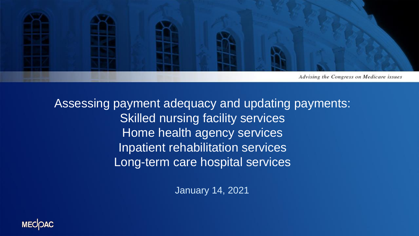

Assessing payment adequacy and updating payments: Skilled nursing facility services Home health agency services Inpatient rehabilitation services Long-term care hospital services

January 14, 2021

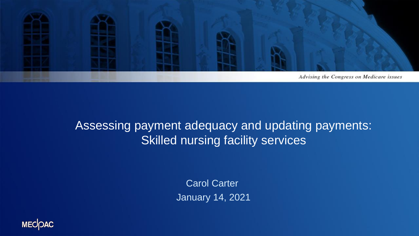

#### Assessing payment adequacy and updating payments: Skilled nursing facility services

Carol Carter January 14, 2021

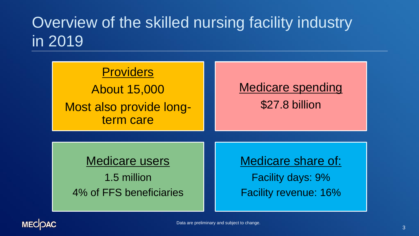# Overview of the skilled nursing facility industry in 2019

| <b>Providers</b><br><b>About 15,000</b><br>Most also provide long-<br>term care | <b>Medicare spending</b><br>\$27.8 billion |
|---------------------------------------------------------------------------------|--------------------------------------------|
| <b>Medicare users</b>                                                           | <b>Medicare share of:</b>                  |
| 1.5 million                                                                     | <b>Facility days: 9%</b>                   |
| 4% of FFS beneficiaries                                                         | <b>Facility revenue: 16%</b>               |

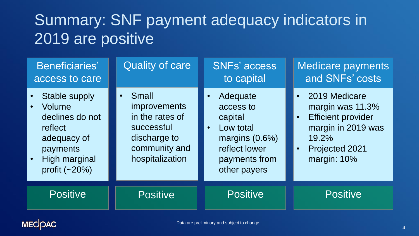# Summary: SNF payment adequacy indicators in 2019 are positive

| Beneficiaries'<br>access to care                                                                                                   | <b>Quality of care</b>                                                                                                                | SNFs' access<br>to capital                                                                                                        | Medicare payments<br>and SNFs' costs                                                                                                                                  |
|------------------------------------------------------------------------------------------------------------------------------------|---------------------------------------------------------------------------------------------------------------------------------------|-----------------------------------------------------------------------------------------------------------------------------------|-----------------------------------------------------------------------------------------------------------------------------------------------------------------------|
| <b>Stable supply</b><br>Volume<br>declines do not<br>reflect<br>adequacy of<br>payments<br><b>High marginal</b><br>profit $(-20%)$ | <b>Small</b><br>$\bullet$<br><i>improvements</i><br>in the rates of<br>successful<br>discharge to<br>community and<br>hospitalization | Adequate<br>access to<br>capital<br>Low total<br>$\bullet$<br>margins $(0.6\%)$<br>reflect lower<br>payments from<br>other payers | 2019 Medicare<br>$\bullet$<br>margin was 11.3%<br><b>Efficient provider</b><br>$\bullet$<br>margin in 2019 was<br>19.2%<br>Projected 2021<br>$\bullet$<br>margin: 10% |
| <b>Positive</b>                                                                                                                    | <b>Positive</b>                                                                                                                       | <b>Positive</b>                                                                                                                   | <b>Positive</b>                                                                                                                                                       |

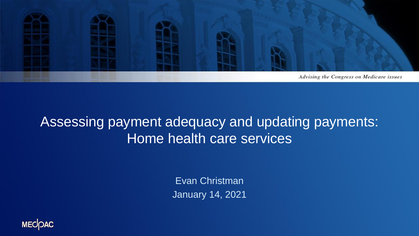

#### Assessing payment adequacy and updating payments: Home health care services

Evan Christman January 14, 2021

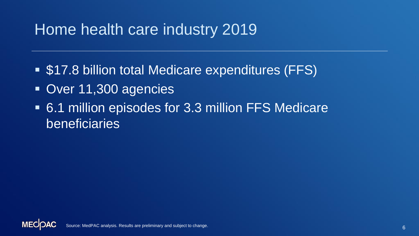### Home health care industry 2019

- \$17.8 billion total Medicare expenditures (FFS)
- Over 11,300 agencies
- 6.1 million episodes for 3.3 million FFS Medicare beneficiaries

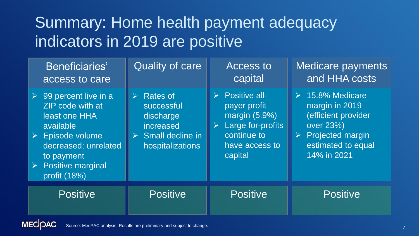# Summary: Home health payment adequacy indicators in 2019 are positive

| Beneficiaries'<br>access to care                                                                                                                                                                                                 | <b>Quality of care</b>                                                                                                               | <b>Access to</b><br>capital                                                                                                                               | <b>Medicare payments</b><br>and HHA costs                                                                                                                      |
|----------------------------------------------------------------------------------------------------------------------------------------------------------------------------------------------------------------------------------|--------------------------------------------------------------------------------------------------------------------------------------|-----------------------------------------------------------------------------------------------------------------------------------------------------------|----------------------------------------------------------------------------------------------------------------------------------------------------------------|
| $\triangleright$ 99 percent live in a<br>ZIP code with at<br>least one HHA<br>available<br>$\triangleright$ Episode volume<br>decreased; unrelated<br>to payment<br><b>Positive marginal</b><br>$\sum_{i=1}^{n}$<br>profit (18%) | <b>Rates of</b><br>$\triangleright$<br>successful<br>discharge<br>increased<br>$\triangleright$ Small decline in<br>hospitalizations | $\triangleright$ Positive all-<br>payer profit<br>margin (5.9%)<br>Large for-profits<br>$\blacktriangleright$<br>continue to<br>have access to<br>capital | $\triangleright$ 15.8% Medicare<br>margin in 2019<br>efficient provider<br>over 23%)<br>$\triangleright$ Projected margin<br>estimated to equal<br>14% in 2021 |
| <b>Positive</b>                                                                                                                                                                                                                  | <b>Positive</b>                                                                                                                      | <b>Positive</b>                                                                                                                                           | <b>Positive</b>                                                                                                                                                |

**MECOAC** Source: MedPAC analysis. Results are preliminary and subject to change.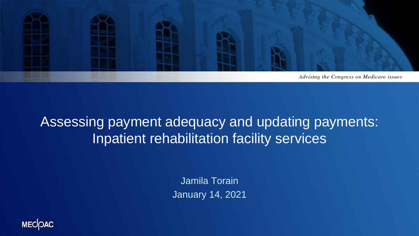

#### Assessing payment adequacy and updating payments: Inpatient rehabilitation facility services

Jamila Torain January 14, 2021

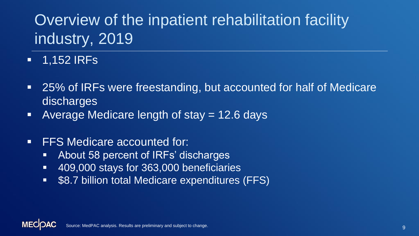# Overview of the inpatient rehabilitation facility industry, 2019

- 1,152 IRFs
- 25% of IRFs were freestanding, but accounted for half of Medicare discharges
- **E** Average Medicare length of stay = 12.6 days
- **FFS Medicare accounted for:** 
	- About 58 percent of IRFs' discharges
	- 409,000 stays for 363,000 beneficiaries
	- \$8.7 billion total Medicare expenditures (FFS)

**MECO** Source: MedPAC analysis. Results are preliminary and subject to change.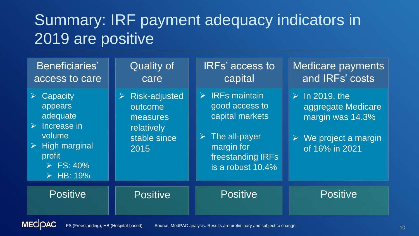## Summary: IRF payment adequacy indicators in 2019 are positive

| Beneficiaries'<br>access to care                                                                                                                                                                                 | <b>Quality of</b><br>care                                                                                | <b>IRFs' access to</b><br>capital                                                                                                                                | <b>Medicare payments</b><br>and IRFs' costs                                                                                       |
|------------------------------------------------------------------------------------------------------------------------------------------------------------------------------------------------------------------|----------------------------------------------------------------------------------------------------------|------------------------------------------------------------------------------------------------------------------------------------------------------------------|-----------------------------------------------------------------------------------------------------------------------------------|
| Capacity<br>$\sum_{i=1}^{n}$<br>appears<br>adequate<br>$\triangleright$ Increase in<br>volume<br><b>High marginal</b><br>$\blacktriangleright$<br>profit<br>$\triangleright$ FS: 40%<br>$\triangleright$ HB: 19% | $\triangleright$ Risk-adjusted<br>outcome<br>measures <sup>'</sup><br>relatively<br>stable since<br>2015 | $\triangleright$ IRFs maintain<br>good access to<br>capital markets<br>The all-payer<br>$\sum_{i=1}^{n}$<br>margin for<br>freestanding IRFs<br>is a robust 10.4% | $\triangleright$ In 2019, the<br>aggregate Medicare<br>margin was 14.3%<br>$\triangleright$ We project a margin<br>of 16% in 2021 |
| <b>Positive</b>                                                                                                                                                                                                  | <b>Positive</b>                                                                                          | <b>Positive</b>                                                                                                                                                  | <b>Positive</b>                                                                                                                   |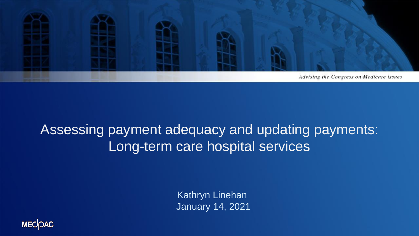

### Assessing payment adequacy and updating payments: Long-term care hospital services

Kathryn Linehan January 14, 2021

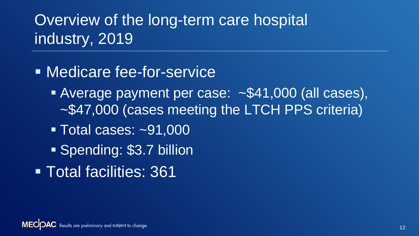# Overview of the long-term care hospital industry, 2019

- **E** Medicare fee-for-service
	- **EXAVERGE PAYMENT per case: ~\$41,000 (all cases),** ~\$47,000 (cases meeting the LTCH PPS criteria)
	- Total cases: ~91,000
	- Spending: \$3.7 billion
- **Total facilities: 361**